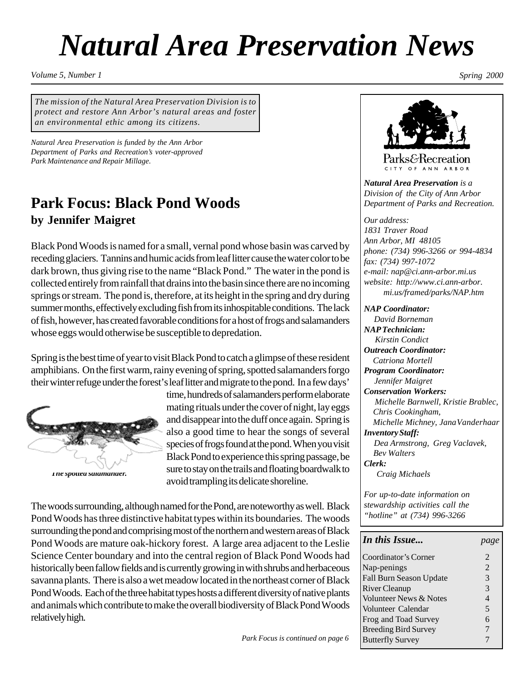# *Natural Area Preservation News*

*Volume 5, Number 1 Spring 2000*

*The mission of the Natural Area Preservation Division is to protect and restore Ann Arbor's natural areas and foster an environmental ethic among its citizens.*

*Natural Area Preservation is funded by the Ann Arbor Department of Parks and Recreation's voter-approved Park Maintenance and Repair Millage.*

### **Park Focus: Black Pond Woods by Jennifer Maigret**

Black Pond Woods is named for a small, vernal pond whose basin was carved by receding glaciers. Tannins and humic acids from leaf litter cause the water color to be dark brown, thus giving rise to the name "Black Pond." The water in the pond is collected entirely from rainfall that drains into the basin since there are no incoming springs or stream. The pond is, therefore, at its height in the spring and dry during summer months, effectively excluding fish from its inhospitable conditions. The lack of fish, however, has created favorable conditions for a host of frogs and salamanders whose eggs would otherwise be susceptible to depredation.

Spring is the best time of year to visit Black Pond to catch a glimpse of these resident amphibians. On the first warm, rainy evening of spring, spotted salamanders forgo their winter refuge under the forest's leaf litter and migrate to the pond. In a few days'



*The spotted salamander.*

time, hundreds of salamanders perform elaborate mating rituals under the cover of night, lay eggs and disappear into the duff once again. Spring is also a good time to hear the songs of several species of frogs found at the pond. When you visit Black Pond to experience this spring passage, be sure to stay on the trails and floating boardwalk to avoid trampling its delicate shoreline.

The woods surrounding, although named for the Pond, are noteworthy as well. Black Pond Woods has three distinctive habitat types within its boundaries. The woods surrounding the pond and comprising most of the northern and western areas of Black Pond Woods are mature oak-hickory forest. A large area adjacent to the Leslie Science Center boundary and into the central region of Black Pond Woods had historically been fallow fields and is currently growing in with shrubs and herbaceous savanna plants. There is also a wet meadow located in the northeast corner of Black Pond Woods. Each of the three habitat types hosts a different diversity of native plants and animals which contribute to make the overall biodiversity of Black Pond Woods relatively high.



Parks&Recreation CITY OF ANN ARBOR

*Natural Area Preservation is a Division of the City of Ann Arbor Department of Parks and Recreation.*

*Our address: 1831 Traver Road Ann Arbor, MI 48105 phone: (734) 996-3266 or 994-4834 fax: (734) 997-1072 e-mail: nap@ci.ann-arbor.mi.us website: http://www.ci.ann-arbor. mi.us/framed/parks/NAP.htm*

#### *NAP Coordinator:*

 *David Borneman NAP Technician: Kirstin Condict Outreach Coordinator: Catriona Mortell Program Coordinator: Jennifer Maigret Conservation Workers: Michelle Barnwell, Kristie Brablec, Chris Cookingham, Michelle Michney, JanaVanderhaar Inventory Staff: Dea Armstrong, Greg Vaclavek, Bev Walters Clerk: Craig Michaels*

*For up-to-date information on stewardship activities call the "hotline" at (734) 996-3266*

| <b>In this Issue</b>                   | page |
|----------------------------------------|------|
| Coordinator's Corner                   |      |
| Nap-penings                            |      |
| $\Gamma_{2}11$ Dream Canana United the |      |

| $\Gamma$ Nap-penings           |   |
|--------------------------------|---|
| <b>Fall Burn Season Update</b> | 3 |
| River Cleanup                  | 3 |
| Volunteer News & Notes         | 4 |
| Volunteer Calendar             | 5 |
| Frog and Toad Survey           | 6 |
| <b>Breeding Bird Survey</b>    | 7 |
| <b>Butterfly Survey</b>        |   |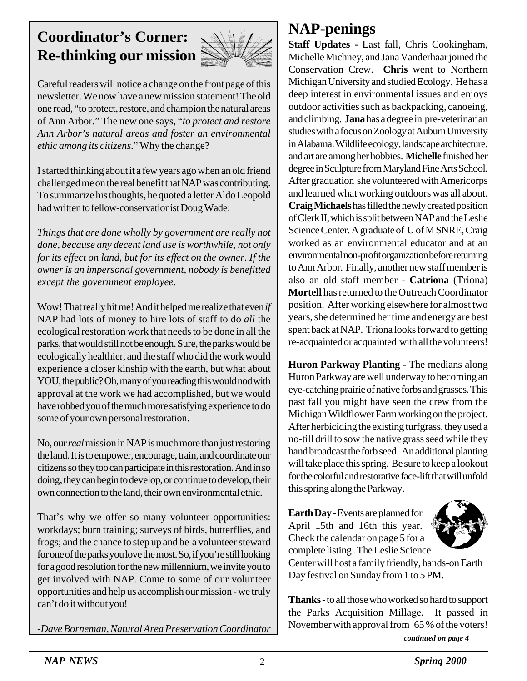## **Coordinator's Corner: Re-thinking our mission**



Careful readers will notice a change on the front page of this newsletter. We now have a new mission statement! The old one read, "to protect, restore, and champion the natural areas of Ann Arbor." The new one says, "*to protect and restore Ann Arbor's natural areas and foster an environmental ethic among its citizens*." Why the change?

I started thinking about it a few years ago when an old friend challenged me on the real benefit that NAP was contributing. To summarize his thoughts, he quoted a letter Aldo Leopold had written to fellow-conservationist Doug Wade:

*Things that are done wholly by government are really not done, because any decent land use is worthwhile, not only for its effect on land, but for its effect on the owner. If the owner is an impersonal government, nobody is benefitted except the government employee.*

Wow! That really hit me! And it helped me realize that even *if* NAP had lots of money to hire lots of staff to do *all* the ecological restoration work that needs to be done in all the parks, that would still not be enough. Sure, the parks would be ecologically healthier, and the staff who did the work would experience a closer kinship with the earth, but what about YOU, the public? Oh, many of you reading this would nod with approval at the work we had accomplished, but we would have robbed you of the much more satisfying experience to do some of your own personal restoration.

No, our *real* mission in NAP is much more than just restoring the land. It is to empower, encourage, train, and coordinate our citizens so they too can participate in this restoration. And in so doing, they can begin to develop, or continue to develop, their own connection to the land, their own environmental ethic.

That's why we offer so many volunteer opportunities: workdays; burn training; surveys of birds, butterflies, and frogs; and the chance to step up and be a volunteer steward for one of the parks you love the most. So, if you're still looking for a good resolution for the new millennium, we invite you to get involved with NAP. Come to some of our volunteer opportunities and help us accomplish our mission - we truly can't do it without you!

*-Dave Borneman, Natural Area Preservation Coordinator*

### **NAP-penings**

**Staff Updates -** Last fall, Chris Cookingham, Michelle Michney, and Jana Vanderhaar joined the Conservation Crew. **Chris** went to Northern Michigan University and studied Ecology. He has a deep interest in environmental issues and enjoys outdoor activities such as backpacking, canoeing, and climbing. **Jana** has a degree in pre-veterinarian studies with a focus on Zoology at Auburn University in Alabama. Wildlife ecology, landscape architecture, and art are among her hobbies. **Michelle** finished her degree in Sculpture from Maryland Fine Arts School. After graduation she volunteered with Americorps and learned what working outdoors was all about. **Craig Michaels** has filled the newly created position of Clerk II, which is split between NAP and the Leslie Science Center. A graduate of U of M SNRE, Craig worked as an environmental educator and at an environmental non-profit organization before returning to Ann Arbor. Finally, another new staff member is also an old staff member - **Catriona** (Triona) **Mortell** has returned to the Outreach Coordinator position. After working elsewhere for almost two years, she determined her time and energy are best spent back at NAP. Triona looks forward to getting re-acquainted or acquainted with all the volunteers!

**Huron Parkway Planting -** The medians along Huron Parkway are well underway to becoming an eye-catching prairie of native forbs and grasses. This past fall you might have seen the crew from the Michigan Wildflower Farm working on the project. After herbiciding the existing turfgrass, they used a no-till drill to sow the native grass seed while they hand broadcast the forb seed. An additional planting will take place this spring. Be sure to keep a lookout for the colorful and restorative face-lift that will unfold this spring along the Parkway.

**Earth Day** - Events are planned for April 15th and 16th this year. Check the calendar on page 5 for a complete listing . The Leslie Science



Center will host a family friendly, hands-on Earth Day festival on Sunday from 1 to 5 PM.

**Thanks -** to all those who worked so hard to support the Parks Acquisition Millage. It passed in November with approval from 65 % of the voters!

*continued on page 4*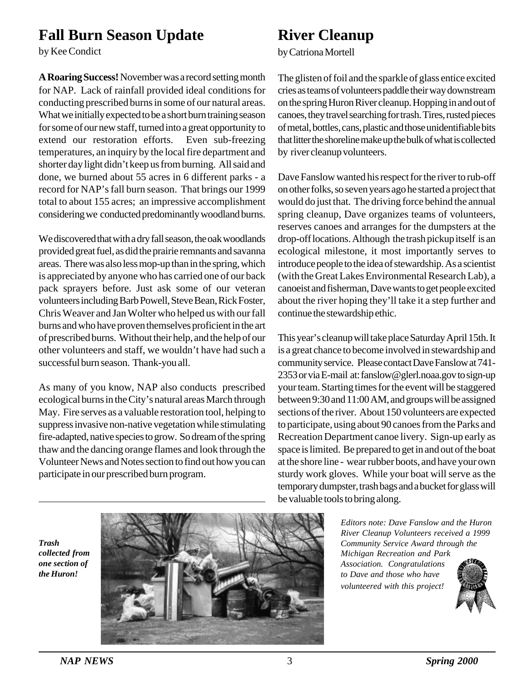### **Fall Burn Season Update**

by Kee Condict

**A Roaring Success!**November was a record setting month for NAP. Lack of rainfall provided ideal conditions for conducting prescribed burns in some of our natural areas. What we initially expected to be a short burn training season for some of our new staff, turned into a great opportunity to extend our restoration efforts. Even sub-freezing temperatures, an inquiry by the local fire department and shorter day light didn't keep us from burning. All said and done, we burned about 55 acres in 6 different parks - a record for NAP's fall burn season. That brings our 1999 total to about 155 acres; an impressive accomplishment considering we conducted predominantly woodland burns.

We discovered that with a dry fall season, the oak woodlands provided great fuel, as did the prairie remnants and savanna areas. There was also less mop-up than in the spring, which is appreciated by anyone who has carried one of our back pack sprayers before. Just ask some of our veteran volunteers including Barb Powell, Steve Bean, Rick Foster, Chris Weaver and Jan Wolter who helped us with our fall burns and who have proven themselves proficient in the art of prescribed burns. Without their help, and the help of our other volunteers and staff, we wouldn't have had such a successful burn season. Thank-you all.

As many of you know, NAP also conducts prescribed ecological burns in the City's natural areas March through May. Fire serves as a valuable restoration tool, helping to suppress invasive non-native vegetation while stimulating fire-adapted, native species to grow. So dream of the spring thaw and the dancing orange flames and look through the Volunteer News and Notes section to find out how you can participate in our prescribed burn program.

### **River Cleanup**

by Catriona Mortell

The glisten of foil and the sparkle of glass entice excited cries as teams of volunteers paddle their way downstream on the spring Huron River cleanup. Hopping in and out of canoes, they travel searching for trash. Tires, rusted pieces of metal, bottles, cans, plastic and those unidentifiable bits that litter the shoreline make up the bulk of what is collected by river cleanup volunteers.

Dave Fanslow wanted his respect for the river to rub-off on other folks, so seven years ago he started a project that would do just that. The driving force behind the annual spring cleanup, Dave organizes teams of volunteers, reserves canoes and arranges for the dumpsters at the drop-off locations. Although the trash pickup itself is an ecological milestone, it most importantly serves to introduce people to the idea of stewardship. As a scientist (with the Great Lakes Environmental Research Lab), a canoeist and fisherman, Dave wants to get people excited about the river hoping they'll take it a step further and continue the stewardship ethic.

This year's cleanup will take place Saturday April 15th. It is a great chance to become involved in stewardship and community service. Please contact Dave Fanslow at 741- 2353 or via E-mail at: fanslow@glerl.noaa.gov to sign-up your team. Starting times for the event will be staggered between 9:30 and 11:00 AM, and groups will be assigned sections of the river. About 150 volunteers are expected to participate, using about 90 canoes from the Parks and Recreation Department canoe livery. Sign-up early as space is limited. Be prepared to get in and out of the boat at the shore line - wear rubber boots, and have your own sturdy work gloves. While your boat will serve as the temporary dumpster, trash bags and a bucket for glass will be valuable tools to bring along.

> *Editors note: Dave Fanslow and the Huron River Cleanup Volunteers received a 1999 Community Service Award through the Michigan Recreation and Park Association. Congratulations to Dave and those who have volunteered with this project!*



*Trash collected from one section of the Huron!*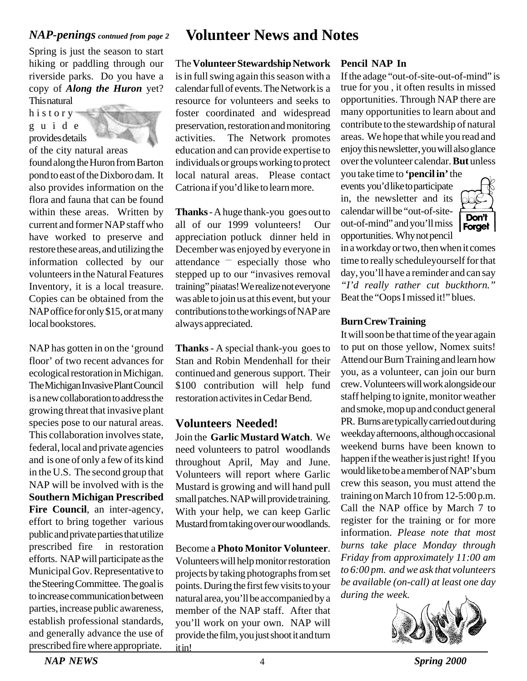### *NAP-penings contnued from page 2*

Spring is just the season to start hiking or paddling through our riverside parks. Do you have a copy of *Along the Huron* yet? This natural

history guide provides details



of the city natural areas

found along the Huron from Barton pond to east of the Dixboro dam. It also provides information on the flora and fauna that can be found within these areas. Written by current and former NAP staff who have worked to preserve and restore these areas, and utilizing the information collected by our volunteers in the Natural Features Inventory, it is a local treasure. Copies can be obtained from the NAP office for only \$15, or at many local bookstores.

NAP has gotten in on the 'ground floor' of two recent advances for ecological restoration in Michigan. The Michigan Invasive Plant Council is a new collaboration to address the growing threat that invasive plant species pose to our natural areas. This collaboration involves state, federal, local and private agencies and is one of only a few of its kind in the U.S. The second group that NAP will be involved with is the **Southern Michigan Prescribed Fire Council**, an inter-agency, effort to bring together various public and private parties that utilize prescribed fire in restoration efforts. NAP will participate as the Municipal Gov. Representative to the Steering Committee. The goal is to increase communication between parties, increase public awareness, establish professional standards, and generally advance the use of prescribed fire where appropriate.

### **Volunteer News and Notes**

The **Volunteer Stewardship Network**

is in full swing again this season with a calendar full of events. The Network is a resource for volunteers and seeks to foster coordinated and widespread preservation, restoration and monitoring activities. The Network promotes education and can provide expertise to individuals or groups working to protect local natural areas. Please contact Catriona if you'd like to learn more.

**Thanks** - A huge thank-you goes out to all of our 1999 volunteers! Our appreciation potluck dinner held in December was enjoyed by everyone in attendance — especially those who stepped up to our "invasives removal training" piñatas! We realize not everyone was able to join us at this event, but your contributions to the workings of NAP are always appreciated.

**Thanks** - A special thank-you goes to Stan and Robin Mendenhall for their continued and generous support. Their \$100 contribution will help fund restoration activites in Cedar Bend.

### **Volunteers Needed!**

Join the **Garlic Mustard Watch**. We need volunteers to patrol woodlands throughout April, May and June. Volunteers will report where Garlic Mustard is growing and will hand pull small patches. NAP will provide training. With your help, we can keep Garlic Mustard from taking over our woodlands.

Become a **Photo Monitor Volunteer**.

Volunteers will help monitor restoration projects by taking photographs from set points. During the first few visits to your natural area, you'll be accompanied by a member of the NAP staff. After that you'll work on your own. NAP will provide the film, you just shoot it and turn it in!

### **Pencil NAP In**

true for you , it often results in missed opportunities. Through NAP there are many opportunities to learn about and contribute to the stewardship of natural areas. We hope that while you read and enjoy this newsletter, you will also glance over the volunteer calendar. **But** unless If the adage "out-of-site-out-of-mind" is

you take time to **'pencil in'** the events you'd like to participate in, the newsletter and its calendar will be "out-of-siteout-of-mind" and you'll miss opportunities. Why not pencil



in a workday or two, then when it comes time to really scheduleyourself for that day, you'll have a reminder and can say *"I'd really rather cut buckthorn."* Beat the "Oops I missed it!" blues.

### **Burn Crew Training**

It will soon be that time of the year again to put on those yellow, Nomex suits! Attend our Burn Training and learn how you, as a volunteer, can join our burn crew. Volunteers will work alongside our staff helping to ignite, monitor weather and smoke, mop up and conduct general PR. Burns are typically carried out during weekday afternoons, although occasional weekend burns have been known to happen if the weather is just right! If you would like to be a member of NAP's burn crew this season, you must attend the training on March 10 from 12-5:00 p.m. Call the NAP office by March 7 to register for the training or for more information. *Please note that most burns take place Monday through Friday from approximately 11:00 am to 6:00 pm. and we ask that volunteers be available (on-call) at least one day during the week.*

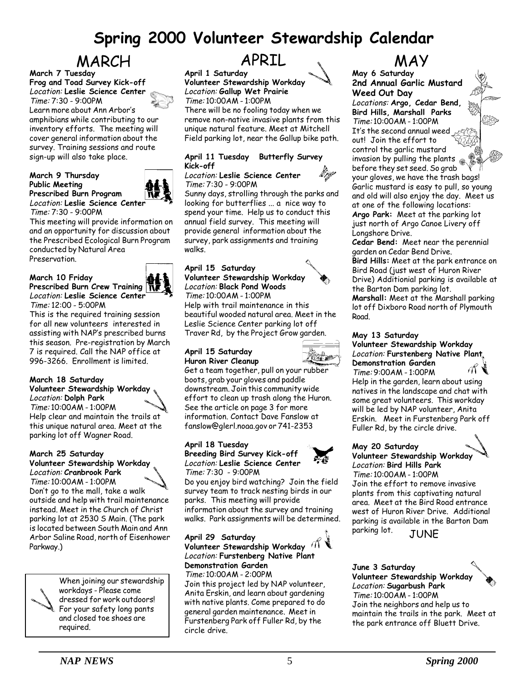### **Spring 2000 Volunteer Stewardship Calendar**

# MARCH APRIL WAY

**March 7 Tuesday Frog and Toad Survey Kick-off** Location: **Leslie Science Center** Time: 7:30 - 9:00PM Learn more about Ann Arbor's amphibians while contributing to our inventory efforts. The meeting will cover general information about the survey. Training sessions and route sign-up will also take place.

#### **March 9 Thursday Public Meeting Prescribed Burn Program** Location: **Leslie Science Center** Time: 7:30 - 9:00PM



This meeting will provide information on and an opportunity for discussion about the Prescribed Ecological Burn Program conducted by Natural Area Preservation.

#### **March 10 Friday Prescribed Burn Crew Training** Location: **Leslie Science Center**



Time: 12:00 - 5:00PM This is the required training session for all new volunteers interested in assisting with NAP's prescribed burns this season. Pre-registration by March 7 is required. Call the NAP office at 996-3266. Enrollment is limited.

### **March 18 Saturday Volunteer Stewardship Workday** Location: **Dolph Park**

Time: 10:00AM - 1:00PM Help clear and maintain the trails at this unique natural area. Meet at the parking lot off Wagner Road.

#### **March 25 Saturday Volunteer Stewardship Workday** Location: **Cranbrook Park**



Time: 10:00AM - 1:00PM Don't go to the mall, take a walk outside and help with trail maintenance instead. Meet in the Church of Christ parking lot at 2530 S Main. (The park is located between South Main and Ann Arbor Saline Road, north of Eisenhower Parkway.)



When joining our stewardship workdays - Please come dressed for work outdoors! For your safety long pants and closed toe shoes are required.

## APRIL

**April 1 Saturday Volunteer Stewardship Workday** Location: **Gallup Wet Prairie** Time: 10:00AM - 1:00PM There will be no fooling today when we remove non-native invasive plants from this unique natural feature. Meet at Mitchell Field parking lot, near the Gallup bike path.

### **April 11 Tuesday Butterfly Survey Kick-off**

#### Location: **Leslie Science Center** Time: 7:30 - 9:00PM

Sunny days, strolling through the parks and looking for butterflies ... a nice way to spend your time. Help us to conduct this annual field survey. This meeting will provide general information about the survey, park assignments and training walks.

### **April 15 Saturday Volunteer Stewardship Workday** Location: **Black Pond Woods**

Time: 10:00AM - 1:00PM Help with trail maintenance in this beautiful wooded natural area. Meet in the Leslie Science Center parking lot off Traver Rd, by the Project Grow garden.

#### **April 15 Saturday Huron River Cleanup**



Get a team together, pull on your rubber boots, grab your gloves and paddle downstream. Join this community wide effort to clean up trash along the Huron. See the article on page 3 for more information. Contact Dave Fanslow at fanslow@glerl.noaa.gov or 741-2353

#### **April 18 Tuesday Breeding Bird Survey Kick-off** Location: **Leslie Science Center**

Time: 7:30 - 9:00PM

Do you enjoy bird watching? Join the field survey team to track nesting birds in our parks. This meeting will provide information about the survey and training walks. Park assignments will be determined.

#### **April 29 Saturday Volunteer Stewardship Workday** Location: **Furstenberg Native Plant Demonstration Garden** Time: 10:00AM - 2:00PM

Join this project led by NAP volunteer, Anita Erskin, and learn about gardening with native plants. Come prepared to do general garden maintenance. Meet in Furstenberg Park off Fuller Rd, by the circle drive.

**May 6 Saturday 2nd Annual Garlic Mustard Weed Out Day**

Locations: **Argo, Cedar Bend, Bird Hills, Marshall Parks** Time: 10:00AM - 1:00PM It's the second annual weed out! Join the effort to control the garlic mustard invasion by pulling the plants  $\circledast$ before they set seed. So grab your gloves, we have the trash bags! Garlic mustard is easy to pull, so young and old will also enjoy the day. Meet us at one of the following locations: **Argo Park:** Meet at the parking lot just north of Argo Canoe Livery off Longshore Drive.

**Cedar Bend:** Meet near the perennial garden on Cedar Bend Drive. **Bird Hills:** Meet at the park entrance on Bird Road (just west of Huron River Drive) Additionial parking is available at the Barton Dam parking lot. **Marshall:** Meet at the Marshall parking lot off Dixboro Road north of Plymouth Road.

### **May 13 Saturday**

#### **Volunteer Stewardship Workday** Location: **Furstenberg Native Plant Demonstration Garden**



Time: 9:00AM - 1:00PM Help in the garden, learn about using natives in the landscape and chat with some great volunteers. This workday will be led by NAP volunteer, Anita Erskin. Meet in Furstenberg Park off Fuller Rd, by the circle drive.

### **May 20 Saturday**

**Volunteer Stewardship Workday** Location: **Bird Hills Park** Time: 10:00AM - 1:00PM

Join the effort to remove invasive plants from this captivating natural area. Meet at the Bird Road entrance west of Huron River Drive. Additional parking is available in the Barton Dam parking lot. JUNE

### **June 3 Saturday Volunteer Stewardship Workday** Location: **Sugarbush Park** Time: 10:00AM - 1:00PM

Join the neighbors and help us to maintain the trails in the park. Meet at the park entrance off Bluett Drive.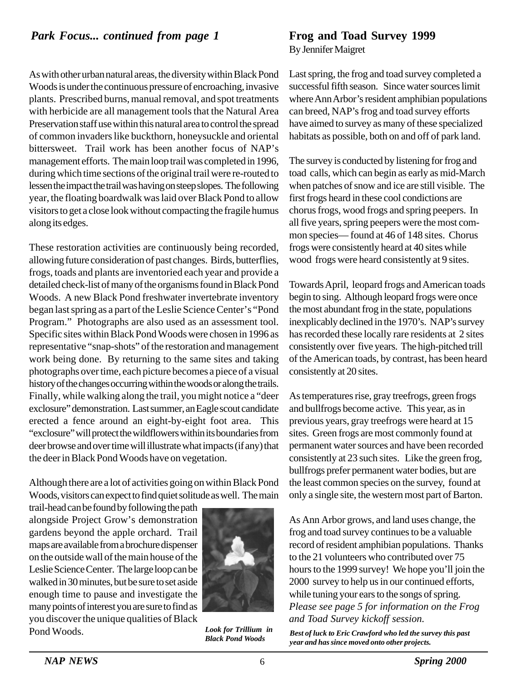As with other urban natural areas, the diversity within Black Pond Woods is under the continuous pressure of encroaching, invasive plants. Prescribed burns, manual removal, and spot treatments with herbicide are all management tools that the Natural Area Preservation staff use within this natural area to control the spread of common invaders like buckthorn, honeysuckle and oriental bittersweet. Trail work has been another focus of NAP's management efforts. The main loop trail was completed in 1996, during which time sections of the original trail were re-routed to lessen the impact the trail was having on steep slopes. The following year, the floating boardwalk was laid over Black Pond to allow visitors to get a close look without compacting the fragile humus along its edges.

These restoration activities are continuously being recorded, allowing future consideration of past changes. Birds, butterflies, frogs, toads and plants are inventoried each year and provide a detailed check-list of many of the organisms found in Black Pond Woods. A new Black Pond freshwater invertebrate inventory began last spring as a part of the Leslie Science Center's "Pond Program." Photographs are also used as an assessment tool. Specific sites within Black Pond Woods were chosen in 1996 as representative "snap-shots" of the restoration and management work being done. By returning to the same sites and taking photographs over time, each picture becomes a piece of a visual history of the changes occurring within the woods or along the trails. Finally, while walking along the trail, you might notice a "deer exclosure" demonstration. Last summer, an Eagle scout candidate erected a fence around an eight-by-eight foot area. This "exclosure" will protect the wildflowers within its boundaries from deer browse and over time will illustrate what impacts (if any) that the deer in Black Pond Woods have on vegetation.

Although there are a lot of activities going on within Black Pond Woods, visitors can expect to find quiet solitude as well. The main

trail-head can be found by following the path alongside Project Grow's demonstration gardens beyond the apple orchard. Trail maps are available from a brochure dispenser on the outside wall of the main house of the Leslie Science Center. The large loop can be walked in 30 minutes, but be sure to set aside enough time to pause and investigate the many points of interest you are sure to find as you discover the unique qualities of Black Pond Woods.



*Look for Trillium in*

By Jennifer Maigret

Last spring, the frog and toad survey completed a successful fifth season. Since water sources limit where Ann Arbor's resident amphibian populations can breed, NAP's frog and toad survey efforts have aimed to survey as many of these specialized habitats as possible, both on and off of park land.

The survey is conducted by listening for frog and toad calls, which can begin as early as mid-March when patches of snow and ice are still visible. The first frogs heard in these cool condictions are chorus frogs, wood frogs and spring peepers. In all five years, spring peepers were the most common species— found at 46 of 148 sites. Chorus frogs were consistently heard at 40 sites while wood frogs were heard consistently at 9 sites.

Towards April, leopard frogs and American toads begin to sing. Although leopard frogs were once the most abundant frog in the state, populations inexplicably declined in the 1970's. NAP's survey has recorded these locally rare residents at 2 sites consistently over five years. The high-pitched trill of the American toads, by contrast, has been heard consistently at 20 sites.

As temperatures rise, gray treefrogs, green frogs and bullfrogs become active. This year, as in previous years, gray treefrogs were heard at 15 sites. Green frogs are most commonly found at permanent water sources and have been recorded consistently at 23 such sites. Like the green frog, bullfrogs prefer permanent water bodies, but are the least common species on the survey, found at only a single site, the western most part of Barton.

As Ann Arbor grows, and land uses change, the frog and toad survey continues to be a valuable record of resident amphibian populations. Thanks to the 21 volunteers who contributed over 75 hours to the 1999 survey! We hope you'll join the 2000 survey to help us in our continued efforts, while tuning your ears to the songs of spring. *Please see page 5 for information on the Frog and Toad Survey kickoff session.*

*Black Pond Woods Best of luck to Eric Crawford who led the survey this past year and has since moved onto other projects.*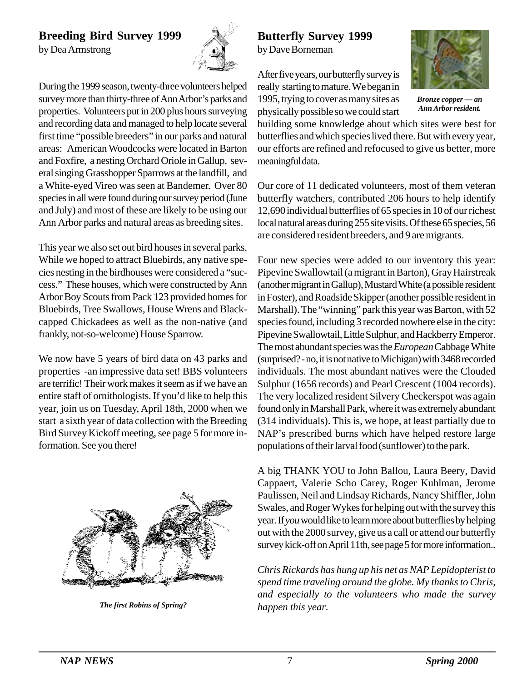### **Breeding Bird Survey 1999**

by Dea Armstrong



During the 1999 season, twenty-three volunteers helped survey more than thirty-three of Ann Arbor's parks and properties. Volunteers put in 200 plus hours surveying and recording data and managed to help locate several first time "possible breeders" in our parks and natural areas: American Woodcocks were located in Barton and Foxfire, a nesting Orchard Oriole in Gallup, several singing Grasshopper Sparrows at the landfill, and a White-eyed Vireo was seen at Bandemer. Over 80 species in all were found during our survey period (June and July) and most of these are likely to be using our Ann Arbor parks and natural areas as breeding sites.

This year we also set out bird houses in several parks. While we hoped to attract Bluebirds, any native species nesting in the birdhouses were considered a "success." These houses, which were constructed by Ann Arbor Boy Scouts from Pack 123 provided homes for Bluebirds, Tree Swallows, House Wrens and Blackcapped Chickadees as well as the non-native (and frankly, not-so-welcome) House Sparrow.

We now have 5 years of bird data on 43 parks and properties -an impressive data set! BBS volunteers are terrific! Their work makes it seem as if we have an entire staff of ornithologists. If you'd like to help this year, join us on Tuesday, April 18th, 2000 when we start a sixth year of data collection with the Breeding Bird Survey Kickoff meeting, see page 5 for more information. See you there!



*happen this year. The first Robins of Spring?*

### **Butterfly Survey 1999** by Dave Borneman

After five years, our butterfly survey is really starting to mature. We began in 1995, trying to cover as many sites as physically possible so we could start



*Bronze copper — an Ann Arbor resident.*

building some knowledge about which sites were best for butterflies and which species lived there. But with every year, our efforts are refined and refocused to give us better, more meaningful data.

Our core of 11 dedicated volunteers, most of them veteran butterfly watchers, contributed 206 hours to help identify 12,690 individual butterflies of 65 species in 10 of our richest local natural areas during 255 site visits. Of these 65 species, 56 are considered resident breeders, and 9 are migrants.

Four new species were added to our inventory this year: Pipevine Swallowtail (a migrant in Barton), Gray Hairstreak (another migrant in Gallup), Mustard White (a possible resident in Foster), and Roadside Skipper (another possible resident in Marshall). The "winning" park this year was Barton, with 52 species found, including 3 recorded nowhere else in the city: Pipevine Swallowtail, Little Sulphur, and Hackberry Emperor. The most abundant species was the *European* Cabbage White (surprised? - no, it is not native to Michigan) with 3468 recorded individuals. The most abundant natives were the Clouded Sulphur (1656 records) and Pearl Crescent (1004 records). The very localized resident Silvery Checkerspot was again found only in Marshall Park, where it was extremely abundant (314 individuals). This is, we hope, at least partially due to NAP's prescribed burns which have helped restore large populations of their larval food (sunflower) to the park.

A big THANK YOU to John Ballou, Laura Beery, David Cappaert, Valerie Scho Carey, Roger Kuhlman, Jerome Paulissen, Neil and Lindsay Richards, Nancy Shiffler, John Swales, and Roger Wykes for helping out with the survey this year. If *you* would like to learn more about butterflies by helping out with the 2000 survey, give us a call or attend our butterfly survey kick-off on April 11th, see page 5 for more information..

*Chris Rickards has hung up his net as NAP Lepidopterist to spend time traveling around the globe. My thanks to Chris, and especially to the volunteers who made the survey*